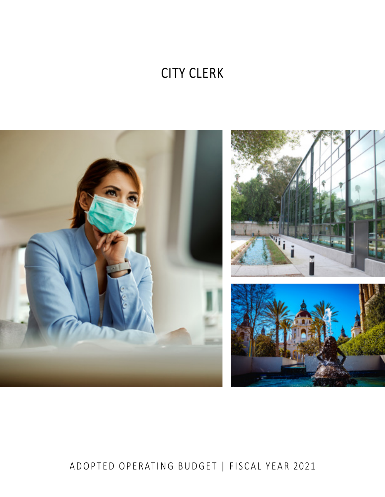# **CITY CLERK**



# ADOPTED OPERATING BUDGET | FISCAL YEAR 2021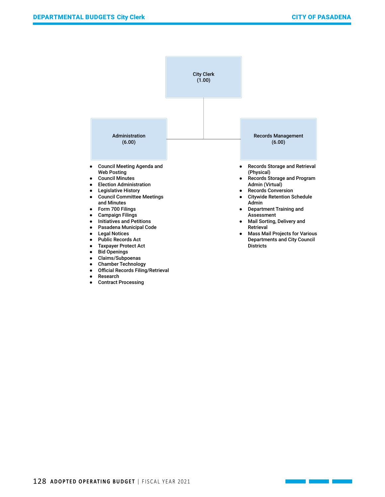

● Official Records Filing/Retrieval

● Research

● Contract Processing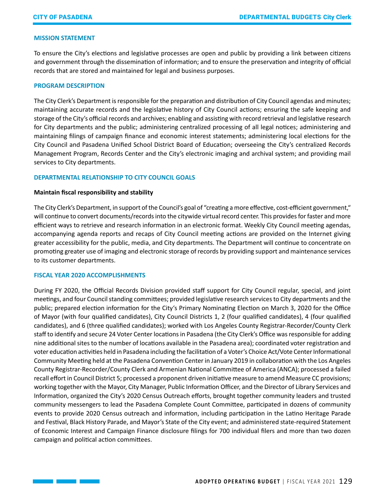# **MISSION STATEMENT**

To ensure the City's elections and legislative processes are open and public by providing a link between citizens and government through the dissemination of information; and to ensure the preservation and integrity of official records that are stored and maintained for legal and business purposes.

#### **PROGRAM DESCRIPTION**

The City Clerk's Department is responsible for the preparation and distribution of City Council agendas and minutes; maintaining accurate records and the legislative history of City Council actions; ensuring the safe keeping and storage of the City's official records and archives; enabling and assisting with record retrieval and legislative research for City departments and the public; administering centralized processing of all legal notices; administering and maintaining filings of campaign finance and economic interest statements; administering local elections for the City Council and Pasadena Unified School District Board of Education; overseeing the City's centralized Records Management Program, Records Center and the City's electronic imaging and archival system; and providing mail services to City departments.

# **DEPARTMENTAL RELATIONSHIP TO CITY COUNCIL GOALS**

#### **Maintain fiscal responsibility and stability**

The City Clerk's Department, in support of the Council's goal of "creating a more effective, cost-efficient government," will continue to convert documents/records into the citywide virtual record center. This provides for faster and more efficient ways to retrieve and research information in an electronic format. Weekly City Council meeting agendas, accompanying agenda reports and recaps of City Council meeting actions are provided on the Internet giving greater accessibility for the public, media, and City departments. The Department will continue to concentrate on promoting greater use of imaging and electronic storage of records by providing support and maintenance services to its customer departments.

# **FISCAL YEAR 2020 ACCOMPLISHMENTS**

**Service State** 

During FY 2020, the Official Records Division provided staff support for City Council regular, special, and joint meetings, and four Council standing committees; provided legislative research services to City departments and the public; prepared election information for the City's Primary Nominating Election on March 3, 2020 for the Office of Mayor (with four qualified candidates), City Council Districts 1, 2 (four qualified candidates), 4 (four qualified candidates), and 6 (three qualified candidates); worked with Los Angeles County Registrar-Recorder/County Clerk staff to identify and secure 24 Voter Center locations in Pasadena (the City Clerk's Office was responsible for adding nine additional sites to the number of locations available in the Pasadena area); coordinated voter registration and voter education activities held in Pasadena including the facilitation of a Voter's Choice Act/Vote Center Informational Community Meeting held at the Pasadena Convention Center in January 2019 in collaboration with the Los Angeles County Registrar-Recorder/County Clerk and Armenian National Committee of America (ANCA); processed a failed recall effort in Council District 5; processed a proponent driven initiative measure to amend Measure CC provisions; working together with the Mayor, City Manager, Public Information Officer, and the Director of Library Services and Information, organized the City's 2020 Census Outreach efforts, brought together community leaders and trusted community messengers to lead the Pasadena Complete Count Committee, participated in dozens of community events to provide 2020 Census outreach and information, including participation in the Latino Heritage Parade and Festival, Black History Parade, and Mayor's State of the City event; and administered state-required Statement of Economic Interest and Campaign Finance disclosure filings for 700 individual filers and more than two dozen campaign and political action committees.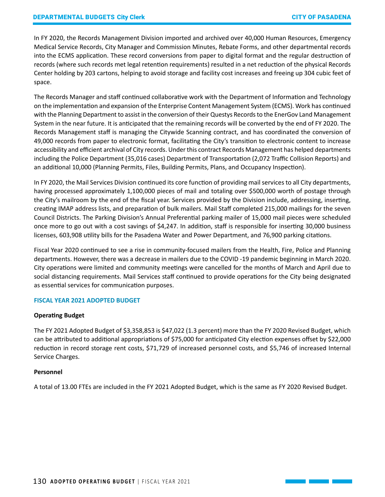In FY 2020, the Records Management Division imported and archived over 40,000 Human Resources, Emergency Medical Service Records, City Manager and Commission Minutes, Rebate Forms, and other departmental records into the ECMS application. These record conversions from paper to digital format and the regular destruction of records (where such records met legal retention requirements) resulted in a net reduction of the physical Records Center holding by 203 cartons, helping to avoid storage and facility cost increases and freeing up 304 cubic feet of space.

The Records Manager and staff continued collaborative work with the Department of Information and Technology on the implementation and expansion of the Enterprise Content Management System (ECMS). Work has continued with the Planning Department to assist in the conversion of their Questys Records to the EnerGov Land Management System in the near future. It is anticipated that the remaining records will be converted by the end of FY 2020. The Records Management staff is managing the Citywide Scanning contract, and has coordinated the conversion of 49,000 records from paper to electronic format, facilitating the City's transition to electronic content to increase accessibility and efficient archival of City records. Under this contract Records Management has helped departments including the Police Department (35,016 cases) Department of Transportation (2,072 Traffic Collision Reports) and an additional 10,000 (Planning Permits, Files, Building Permits, Plans, and Occupancy Inspection).

In FY 2020, the Mail Services Division continued its core function of providing mail services to all City departments, having processed approximately 1,100,000 pieces of mail and totaling over \$500,000 worth of postage through the City's mailroom by the end of the fiscal year. Services provided by the Division include, addressing, inserting, creating IMAP address lists, and preparation of bulk mailers. Mail Staff completed 215,000 mailings for the seven Council Districts. The Parking Division's Annual Preferential parking mailer of 15,000 mail pieces were scheduled once more to go out with a cost savings of \$4,247. In addition, staff is responsible for inserting 30,000 business licenses, 603,908 utility bills for the Pasadena Water and Power Department, and 76,900 parking citations.

Fiscal Year 2020 continued to see a rise in community-focused mailers from the Health, Fire, Police and Planning departments. However, there was a decrease in mailers due to the COVID -19 pandemic beginning in March 2020. City operations were limited and community meetings were cancelled for the months of March and April due to social distancing requirements. Mail Services staff continued to provide operations for the City being designated as essential services for communication purposes.

# **FISCAL YEAR 2021 ADOPTED BUDGET**

#### **Operating Budget**

The FY 2021 Adopted Budget of \$3,358,853 is \$47,022 (1.3 percent) more than the FY 2020 Revised Budget, which can be attributed to additional appropriations of \$75,000 for anticipated City election expenses offset by \$22,000 reduction in record storage rent costs, \$71,729 of increased personnel costs, and \$5,746 of increased Internal Service Charges.

#### **Personnel**

A total of 13.00 FTEs are included in the FY 2021 Adopted Budget, which is the same as FY 2020 Revised Budget.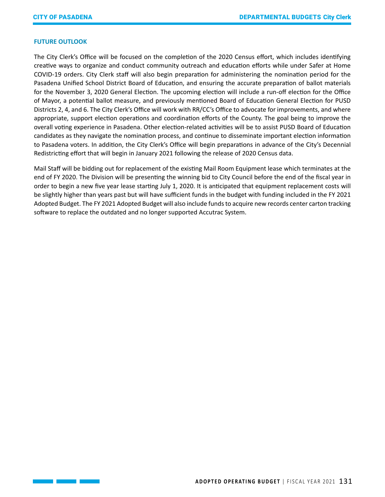# **FUTURE OUTLOOK**

The City Clerk's Office will be focused on the completion of the 2020 Census effort, which includes identifying creative ways to organize and conduct community outreach and education efforts while under Safer at Home COVID-19 orders. City Clerk staff will also begin preparation for administering the nomination period for the Pasadena Unified School District Board of Education, and ensuring the accurate preparation of ballot materials for the November 3, 2020 General Election. The upcoming election will include a run-off election for the Office of Mayor, a potential ballot measure, and previously mentioned Board of Education General Election for PUSD Districts 2, 4, and 6. The City Clerk's Office will work with RR/CC's Office to advocate for improvements, and where appropriate, support election operations and coordination efforts of the County. The goal being to improve the overall voting experience in Pasadena. Other election-related activities will be to assist PUSD Board of Education candidates as they navigate the nomination process, and continue to disseminate important election information to Pasadena voters. In addition, the City Clerk's Office will begin preparations in advance of the City's Decennial Redistricting effort that will begin in January 2021 following the release of 2020 Census data.

Mail Staff will be bidding out for replacement of the existing Mail Room Equipment lease which terminates at the end of FY 2020. The Division will be presenting the winning bid to City Council before the end of the fiscal year in order to begin a new five year lease starting July 1, 2020. It is anticipated that equipment replacement costs will be slightly higher than years past but will have sufficient funds in the budget with funding included in the FY 2021 Adopted Budget. The FY 2021 Adopted Budget will also include funds to acquire new records center carton tracking software to replace the outdated and no longer supported Accutrac System.